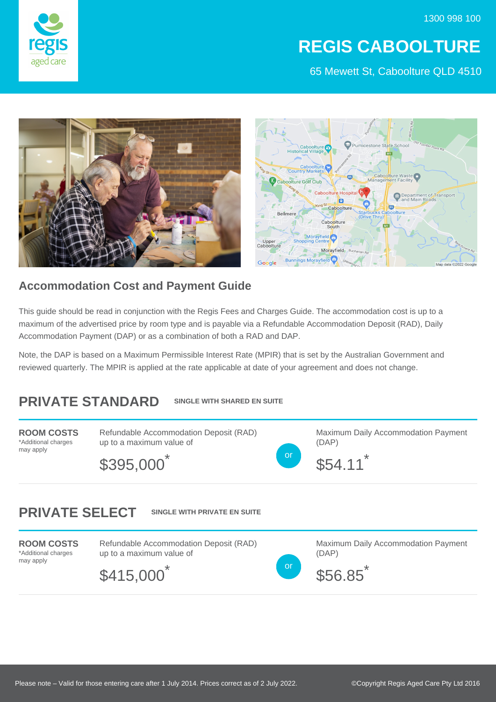

# **REGIS CABOOLTURE**

65 Mewett St, Caboolture QLD 4510



### **Accommodation Cost and Payment Guide**

This guide should be read in conjunction with the Regis Fees and Charges Guide. The accommodation cost is up to a maximum of the advertised price by room type and is payable via a Refundable Accommodation Deposit (RAD), Daily Accommodation Payment (DAP) or as a combination of both a RAD and DAP.

Note, the DAP is based on a Maximum Permissible Interest Rate (MPIR) that is set by the Australian Government and reviewed quarterly. The MPIR is applied at the rate applicable at date of your agreement and does not change.

#### **PRIVATE STANDARD SINGLE WITH SHARED EN SUITE**

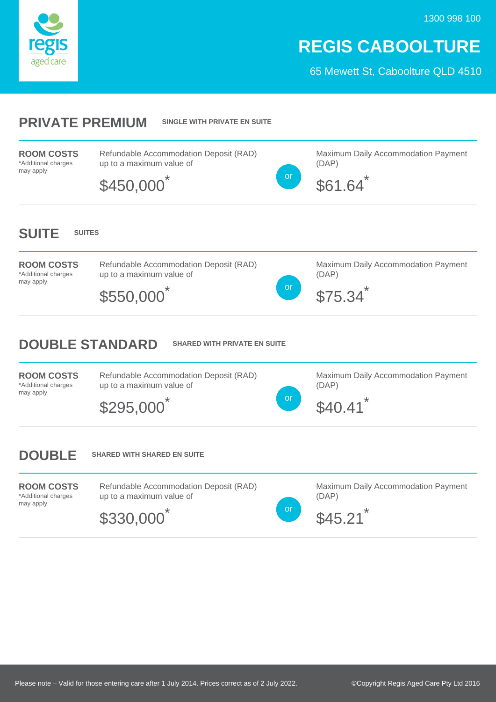



### **REGIS CABOOLTURE**

65 Mewett St, Caboolture QLD 4510